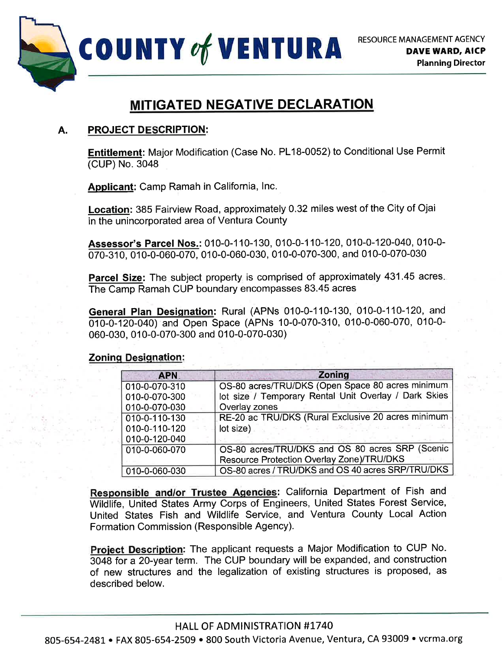

# **MITIGATED NEGATIVE DECLARATION**

# A. PROJECT DESCRIPTION:

Entitlement: Major Modification (Case No. PL18-0052) to Conditional Use Permit (CUP) No. 3048

Applicant: Camp Ramah in California, lnc.

Location: 385 Fairview Road, approximately 0.32 miles west of the City of Ojai in the unincorporated area of Ventura County

Assessor's Parcel Nos.: 010-0-110-130, 010-0-110-120, 010-0-120-040, 010-0-070-310, 010-0-060-070, 010-0-060-030, 010-0-070-300, and 010-0-070-030

Parcel Size: The subject property is comprised of approximately 431.45 acres. The Camp Ramah CUP boundary encompasses 83.45 acres

General Plan Designation: Rural (APNs 010-0-110-130, 010-0-110-120, and 010-0-120-040) and Open Space (APNs 10-0-070-310, 010-0-060-070, 010-0-060-030, 010-0-070-300 and 010-0-070-030)

# **Zoning Designation:**

| <b>APN</b>    | <b>Zoning</b>                                         |
|---------------|-------------------------------------------------------|
| 010-0-070-310 | OS-80 acres/TRU/DKS (Open Space 80 acres minimum      |
| 010-0-070-300 | lot size / Temporary Rental Unit Overlay / Dark Skies |
| 010-0-070-030 | Overlay zones                                         |
| 010-0-110-130 | RE-20 ac TRU/DKS (Rural Exclusive 20 acres minimum    |
| 010-0-110-120 | lot size)                                             |
| 010-0-120-040 |                                                       |
| 010-0-060-070 | OS-80 acres/TRU/DKS and OS 80 acres SRP (Scenic       |
|               | Resource Protection Overlay Zone)/TRU/DKS             |
| 010-0-060-030 | OS-80 acres / TRU/DKS and OS 40 acres SRP/TRU/DKS     |

Responsible and/or Trustee Agencies: California Department of Fish and Wildlife, United States Army Corps of Engineers, United States Forest Service, United States Fish and Wildlife Service, and Ventura County Local Action Formation Commission (Responsible Agency).

Project Description: The applicant requests a Major Modification to CUP No. 3048 for a 2O-year term. The CUP boundary will be expanded, and construction of new structures and the legalization of existing structures is proposed, as described below.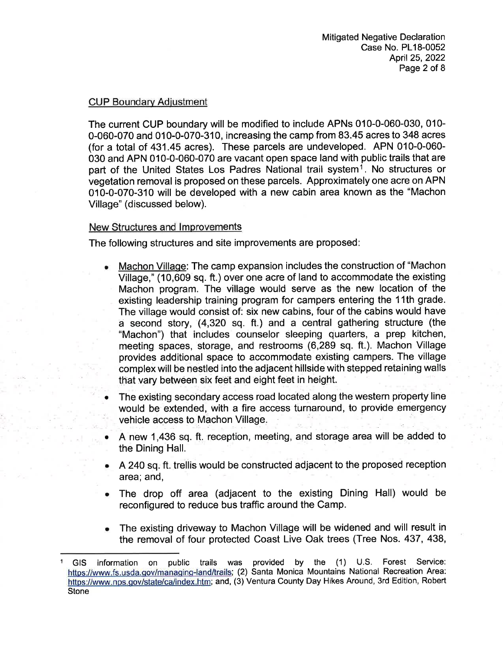# CUP Boundarv Adiustment

The current CUP boundary will be modified to include APNs 010-0-060-030, 010- 0-060-070 and 010-0-070-310, increasing the camp from 83.45 acres to 348 acres (for a total of 431.45 acres). These parcels are undeveloped. APN 010-0-060- 030 and APN 010-0-060-070 are vacant open space land with public trails that are part of the United States Los Padres National trail system<sup>1</sup>. No structures or vegetation removal is proposed on these parcels. Approximately one acre on APN 010-0-070-310 will be developed with a new cabin area known as the "Machon Village" (discussed below).

# New Structures and lmprovements

The following structures and site improvements are proposed

- Machon Village: The camp expansion includes the construction of "Machon Village," (10,609 sq. ft.) over one acre of land to accommodate the existing Machon program. The village would serve as the new location of the existing leadership training program for campers entering the 11th grade. The village would consist of: six new cabins, four of the cabins would have a second story, (4,320 sq. ft.) and a central gathering structure (the "Machon") that includes counselor sleeping quarters, a prep kitchen, meeting spaces, storage, and restrooms (6,289 sq. ft.). Machon Village provides additional space to accommodate existing campers. The village complexwill be nestled into the adjacent hillside with stepped retaining walls that vary between six feet and eight feet in height. a
- The existing secondary access road located along the western property line would be extended, with a fire access turnaround, to provide emergency vehicle access to Machon Village. a
- A new 1,490 sg. ft, reception, meeting, and storage area will be added to the Dining Hall. a
- A24O sq.ft. trellis would be constructed adjacent to the proposed reception area; and, a
- The drop off area (adjacent to the existing Dining Hall) would be reconfigured to reduce bus traffic around the Camp. a
- The existing driveway to Machon Village will be widened and will result in the removal of four protected Coast Live Oak trees (Tree Nos. 437, 438, a

<sup>1</sup> GIS information on public trails was provided by the (1) U.S. Forest Service: https://www.fs.usda.gov/managing-land/trails; (2) Santa Monica Mountains National Recreation Area: https://www.nps.gov/state/ca/index.htm; and, (3) Ventura County Day Hikes Around, 3rd Edition, Robert Stone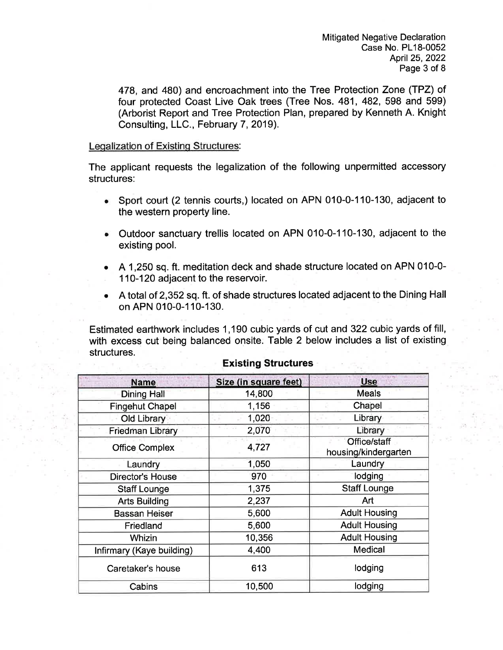478, and 480) and encroachment into the Tree Protection Zone (TPZ) ot four protected Coast Live Oak trees (Tree Nos. 481, 482, 598 and 599) (Arborist Report and Tree Protection Plan, prepared by Kenneth A. Knight Consulting, LLC., February 7, 2019).

#### Legalization of Existing Structures.

The applicant requests the legalization of the following unpermitted accessory structures:

- Sport court (2 tennis courts,) located on APN 010-0-110-130, adjacent to the western property line.
- Outdoor sanctuary trellis located on APN 010-0-110-130, adjacent to the existing pool.
- A 1,250 sq. ft. meditation deck and shade structure located on APN 010-0-110-120 adjacent to the reservoir.
- $\bullet$   $\;$  A total of 2,352 sq. ft. of shade structures located adjacent to the Dining Hall on APN 010-0-1 10-130.

Estimated earthwork includes 1,190 cubic yards of cut and 322 cubic yards of fill, with excess cut being balanced onsite. Table 2 below includes a list of existing structures.

| <b>Name</b>               | Size (in square feet) | <b>Use</b>                           |
|---------------------------|-----------------------|--------------------------------------|
| <b>Dining Hall</b>        | 14,800                | <b>Meals</b>                         |
| <b>Fingehut Chapel</b>    | 1,156                 | Chapel                               |
| Old Library               | 1,020                 | Library                              |
| <b>Friedman Library</b>   | 2,070                 | Library                              |
| <b>Office Complex</b>     | 4,727                 | Office/staff<br>housing/kindergarten |
| Laundry                   | 1,050                 | Laundry                              |
| <b>Director's House</b>   | 970                   | lodging                              |
| <b>Staff Lounge</b>       | 1,375                 | <b>Staff Lounge</b>                  |
| <b>Arts Building</b>      | 2,237                 | Art                                  |
| <b>Bassan Heiser</b>      | 5,600                 | <b>Adult Housing</b>                 |
| Friedland                 | 5,600                 | <b>Adult Housing</b>                 |
| Whizin                    | 10,356                | <b>Adult Housing</b>                 |
| Infirmary (Kaye building) | 4,400                 | Medical                              |
| Caretaker's house         | 613                   | lodging                              |
| Cabins                    | 10,500                | lodging                              |

### Existing Structures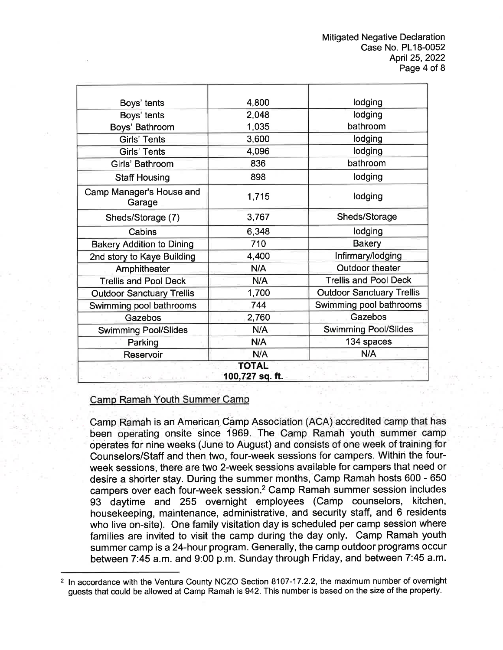| Boys' tents                                    | 4,800 | lodging                          |  |  |
|------------------------------------------------|-------|----------------------------------|--|--|
| Boys' tents                                    | 2,048 | lodging                          |  |  |
| Boys' Bathroom                                 | 1,035 | bathroom                         |  |  |
| <b>Girls' Tents</b>                            | 3,600 | lodging                          |  |  |
| Girls' Tents                                   | 4,096 | lodging                          |  |  |
| Girls' Bathroom                                | 836   | bathroom                         |  |  |
| <b>Staff Housing</b>                           | 898   | lodging                          |  |  |
| Camp Manager's House and<br>Garage             | 1,715 | lodging                          |  |  |
| Sheds/Storage (7)                              | 3,767 | Sheds/Storage                    |  |  |
| Cabins                                         | 6,348 | lodging                          |  |  |
| <b>Bakery Addition to Dining</b>               | 710   | <b>Bakery</b>                    |  |  |
| 2nd story to Kaye Building                     | 4,400 | Infirmary/lodging                |  |  |
| Amphitheater                                   | N/A   | <b>Outdoor theater</b>           |  |  |
| <b>Trellis and Pool Deck</b>                   | N/A   | <b>Trellis and Pool Deck</b>     |  |  |
| <b>Outdoor Sanctuary Trellis</b>               | 1,700 | <b>Outdoor Sanctuary Trellis</b> |  |  |
| Swimming pool bathrooms                        | 744   | Swimming pool bathrooms          |  |  |
| Gazebos                                        | 2,760 | Gazebos                          |  |  |
| <b>Swimming Pool/Slides</b>                    | N/A   | <b>Swimming Pool/Slides</b>      |  |  |
| Parking                                        | N/A   | 134 spaces                       |  |  |
| Reservoir                                      | N/A   | N/A                              |  |  |
| <b>TOTAL</b><br>100,727 sq. ft.<br>$\sim$ 0.65 |       |                                  |  |  |

### Camp Ramah Youth Summer Camp

Camp Ramah is an American Camp Association (ACA) accredited camp that has been operating onsite since 1969. The Camp Ramah youth summer camp operates for nine weeks (June to August) and consists of one week of training for Counselors/Staff and then two, four-week sessions for campers. Within the fourweek sessions, there are two 2-week sessions available for campers that need or desire a shorter stay. During the summer months, Camp Ramah hosts 600 - 650 campers over each four-week session.2 Camp Ramah summer session includes 93 daytime and 255 overnight employees (Camp counselors, kitchen, housekeeping, maintenance, administrative, and security staff, and 6 residents who live on-site). One family visitation day is scheduled per camp session where families are invited to visit the camp during the day only. Camp Ramah youth summer camp is a 24-hour program. Generally, the camp outdoor programs occur between 7:45 a.m. and 9:00 p.m. Sunday through Friday, and between 7:45 a.m.

<sup>2</sup> ln accordance with the Ventura County NCZO Section 8107-17.2.2, the maximum number of overnight guests that could be allowed at Camp Ramah is 942. This number is based on the size of the property.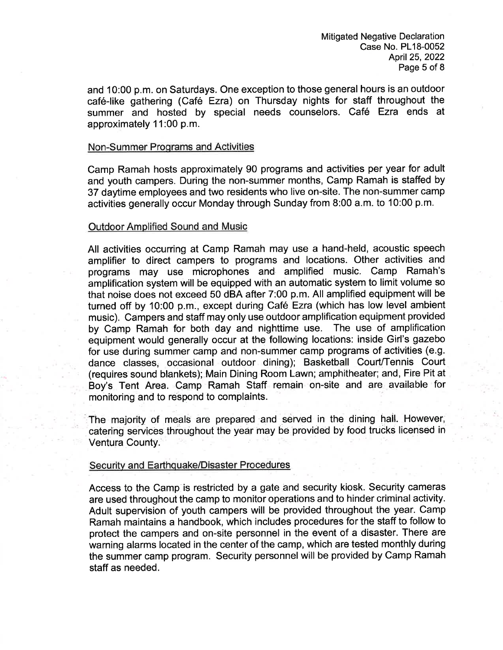and 10:00 p.m. on Saturdays. One exception to those general hours is an outdoor café-like gathering (Café Ezra) on Thursday nights for staff throughout the summer and hosted by special needs counselors. Café Ezra ends at approximately <sup>1</sup>1 :00 p.m.

#### Non-Summer Programs and Activities

Camp Ramah hosts approximately 90 programs and activities per year for adult and youth campers. During the non-summer months, Camp Ramah is staffed by 37 daytime employees and two residents who live on-site. The non-summer camp activities generally occur Monday through Sunday from 8:00 a.m. to 10:00 p.m.

#### Outdoor Amplified Sound and Music

All activities occurring at Camp Ramah may use a hand-held, acoustic speech amplifier to direct campers to programs and locations. Other activities and programs may use microphones and amplified music. Camp Ramah's amplification system will be equipped with an automatic system to limit volume so that noise does not exceed 50 dBA after 7:00 p.m. All amplified equipment will be turned off by 10:00 p.m., except during Caf6 Ezra (which has low level ambient music). Campers and staff may only use outdoor amplification equipment provided by Camp Ramah for both day and nighttime use. The use of amplification equipment would generally occur at the following locations: inside Girl's gazebo for use during summer camp and non-summer camp programs of activities (e.9. dance classes, occasional outdoor dining); Basketball Court/Tennis Court (requires sound blankets); Main Dining Room Lawn; amphitheater; and, Fire Pit at Boy's Tent Area. Camp Ramah Staff remain on-site and are available for monitoring and to respond to complaints.

'The majority of meals are prepared and served in the dining hail. However, catering services throughout the year may be provided by food trucks licensed in Ventura County.

#### Security and Earthquake/Disaster Procedures

Access to the Camp is restricted by a gate and security kiosk. Security cameras are used throughout the camp to monitor operations and to hinder criminal activity. Adult supervision of youth campers will be provided throughout the year. Camp Ramah maintains a handbook, which includes procedures for the staff to follow to protect the campers and on-site personnel in the event of a disaster. There are warning alarms located in the center of the camp, which are tested monthly during the summer camp program. Security personnel will be provided by Camp Ramah staff as needed.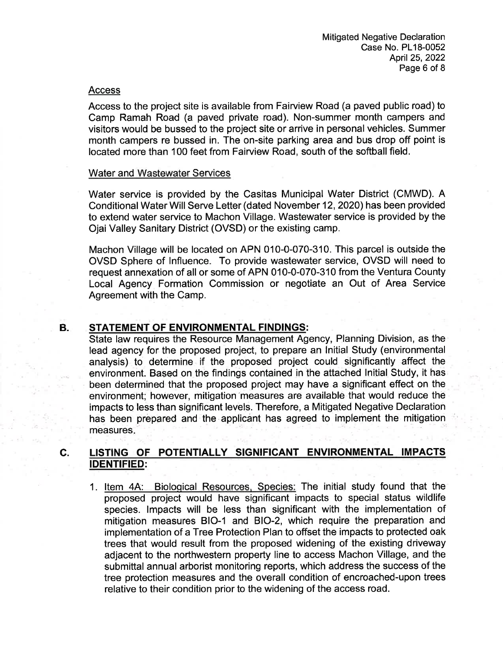#### Access

Access to the project site is available from Fairview Road (a paved public road) to Camp Ramah Road (a paved private road). Non-summer month campers and visitors would be bussed to the project site or arrive in personal vehicles. Summer month campers re bussed in. The on-site parking area and bus drop off point is located more than 100 feet from Fairview Road, south of the softball field.

#### Water and Wastewater Services

Water service is provided by the Casitas Municipal Water District (CMWD). A Conditional Water Will Serve Letter (dated November 12,2020) has been provided to extend water service to Machon Village. Wastewater service is provided by the Ojai Valley Sanitary District (OVSD) or the existing camp.

Machon Village will be located on APN 010-0-070-310. This parcel is outside the OVSD Sphere of lnfluence. To provide wastewater service, OVSD will need to request annexation of all or some of APN 010-0-070-310 from the Ventura County Local Agency Formation Commission or negotiate an Out of Area Service Agreement with the Camp.

#### B. STATEMENT OF ENVIRONMENTAL FINDINGS:

State law requires the Resource Management Agency, Planning Division, as the lead agency for the proposed project, to prepare an lnitial Study (environmental analysis) to determine if the proposed project could significantly affect the environment. Based on the findings contained in the attached lnitial Study, it has been determined that the proposed project may have a significant effect on the environment; however, mitigation measures are available that would reduce the impacts to less than significant levels. Therefore, a Mitigated Negative Declaration has been prepared and the applicant has agreed to implement the mitigation measures

#### c. LISTING OF POTENTIALLY SIGNIFICANT ENVIRONMENTAL IMPACTS IDENTIFIED:

1. Item 4A: Biological Resources, Species: The initial study found that the proposed project would have significant impacts to special status wildlife species. lmpacts will be less than significant with the implementation of mitigation measures BIO-1 and BIO-2, which require the preparation and implementation of a Tree Protection Plan to offset the impacts to protected oak trees that would result from the proposed widening of the existing driveway adjacent to the northwestern property line to access Machon Village, and the submittal annual arborist monitoring reports, which address the success of the tree protection measures and the overall condition of encroached-upon trees relative to their condition prior to the widening of the access road.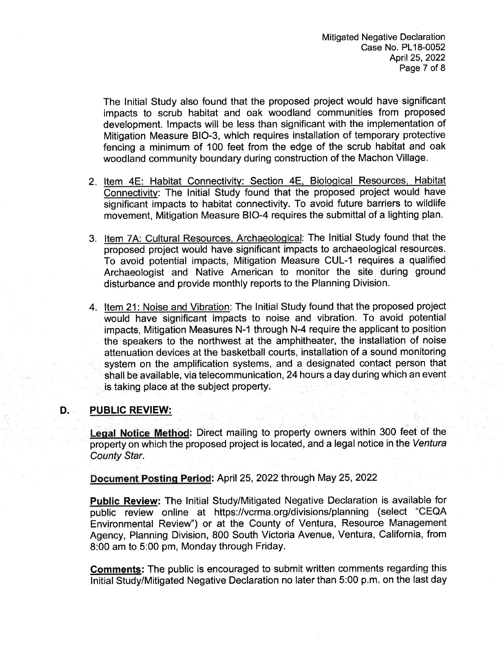The lnitial Study also found that the proposed project would have significant impacts to scrub habitat and oak woodland communities from proposed development. lmpacts will be less than significant with the implementation of Mitigation Measure BIO-3, which requires installation of temporary protective fencing a minimum of 100 feet from the edge of the scrub habitat and oak woodland community boundary during construction of the Machon Village.

- 2. Item 4E: Habitat Connectivity: Section 4E, Biological Resources, Habitat Connectivity: The lnitial Study found that the proposed project would have significant impacts to habitat connectivity. To avoid future barriers to wildlife movement, Mitigation Measure BIO-4 requires the submittal of a lighting plan.
- 3. Item 7A: Cultural Resources. Archaeolooical: The Initial Study found that the proposed project would have significant impacts to archaeological resources. To avoid potential impacts, Mitigation Measure CUL-1 requires a qualified Archaeologist and Native American to monitor the site during ground disturbance and provide monthly reports to the Planning Division.
- 4. ltem 21: Noise and Vibration: The lnitial Study found that the proposed project would have significant impacts to noise and vibration. To avoid potential impacts, Mitigation Measures N-1 through N-4 require the applicant to position the speakers to the northwest at the amphitheater, the installation of noise attenuation devices at the basketball courts, installation of a sound monitoring system on the amplification systems, and a designated contact person that shall be available, via telecommunication, 24 hours a day during which an event is taking place at the subject property.

# D. PUBLIC REVIEW:

Leqal Notice Method: Direct mailing to property owners within 300 feet of the property on which the proposed project is located, and a legal notice in the Ventura County Star.

Document Posting Period: April 25, 2022 through May 25, 2022

- Public Review: The Initial Study/Mitigated Negative Declaration is available for public review online at https://vcrma.org/divisions/planning (select "CEQA Environmental Review") or at the County of Ventura, Resource Management Agency, Planning Division, 800 South Victoria Avenue, Ventura, California, from 8:00 am to 5:00 pm, Monday through Friday.

Comments: The public is encouraged to submit written comments regarding this lnitial Study/Mitigated Negative Declaration no later than 5:00 p.m. on the last day